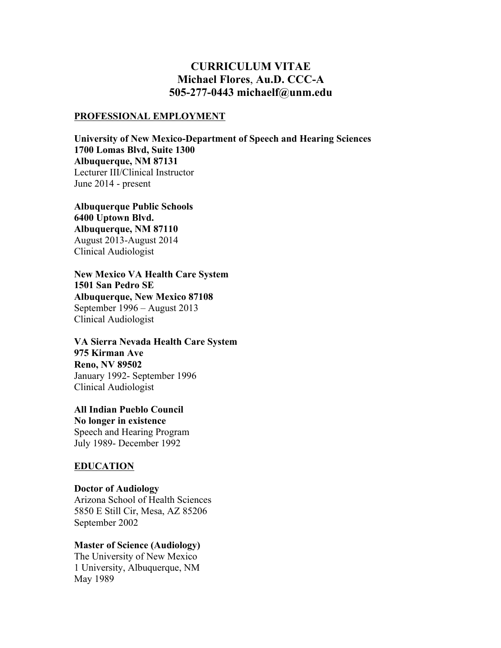# **CURRICULUM VITAE Michael Flores**, **Au.D. CCC-A 505-277-0443 michaelf@unm.edu**

#### **PROFESSIONAL EMPLOYMENT**

**University of New Mexico-Department of Speech and Hearing Sciences 1700 Lomas Blvd, Suite 1300 Albuquerque, NM 87131** Lecturer III/Clinical Instructor June 2014 - present

**Albuquerque Public Schools 6400 Uptown Blvd. Albuquerque, NM 87110** August 2013-August 2014 Clinical Audiologist

**New Mexico VA Health Care System 1501 San Pedro SE Albuquerque, New Mexico 87108** September 1996 – August 2013 Clinical Audiologist

**VA Sierra Nevada Health Care System 975 Kirman Ave Reno, NV 89502** January 1992- September 1996 Clinical Audiologist

**All Indian Pueblo Council No longer in existence** Speech and Hearing Program July 1989- December 1992

#### **EDUCATION**

September 2002

**Doctor of Audiology** Arizona School of Health Sciences 5850 E Still Cir, Mesa, AZ 85206

**Master of Science (Audiology)**

The University of New Mexico 1 University, Albuquerque, NM May 1989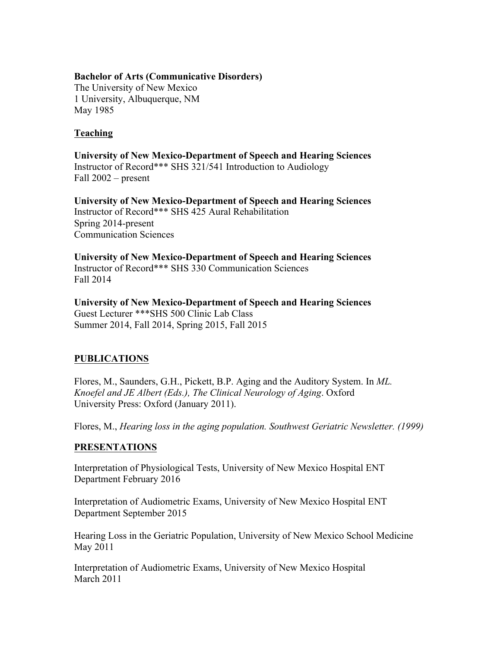#### **Bachelor of Arts (Communicative Disorders)**

The University of New Mexico 1 University, Albuquerque, NM May 1985

# **Teaching**

**University of New Mexico-Department of Speech and Hearing Sciences** Instructor of Record\*\*\* SHS 321/541 Introduction to Audiology Fall 2002 – present

**University of New Mexico-Department of Speech and Hearing Sciences** Instructor of Record\*\*\* SHS 425 Aural Rehabilitation Spring 2014-present Communication Sciences

**University of New Mexico-Department of Speech and Hearing Sciences** Instructor of Record\*\*\* SHS 330 Communication Sciences Fall 2014

**University of New Mexico-Department of Speech and Hearing Sciences** Guest Lecturer \*\*\*SHS 500 Clinic Lab Class Summer 2014, Fall 2014, Spring 2015, Fall 2015

# **PUBLICATIONS**

Flores, M., Saunders, G.H., Pickett, B.P. Aging and the Auditory System. In *ML. Knoefel and JE Albert (Eds.), The Clinical Neurology of Aging*. Oxford University Press: Oxford (January 2011).

Flores, M., *Hearing loss in the aging population. Southwest Geriatric Newsletter. (1999)*

### **PRESENTATIONS**

Interpretation of Physiological Tests, University of New Mexico Hospital ENT Department February 2016

Interpretation of Audiometric Exams, University of New Mexico Hospital ENT Department September 2015

Hearing Loss in the Geriatric Population, University of New Mexico School Medicine May 2011

Interpretation of Audiometric Exams, University of New Mexico Hospital March 2011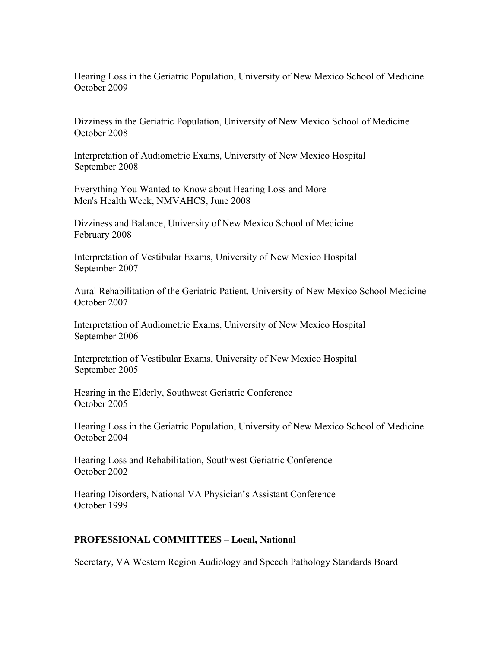Hearing Loss in the Geriatric Population, University of New Mexico School of Medicine October 2009

Dizziness in the Geriatric Population, University of New Mexico School of Medicine October 2008

Interpretation of Audiometric Exams, University of New Mexico Hospital September 2008

Everything You Wanted to Know about Hearing Loss and More Men's Health Week, NMVAHCS, June 2008

Dizziness and Balance, University of New Mexico School of Medicine February 2008

Interpretation of Vestibular Exams, University of New Mexico Hospital September 2007

Aural Rehabilitation of the Geriatric Patient. University of New Mexico School Medicine October 2007

Interpretation of Audiometric Exams, University of New Mexico Hospital September 2006

Interpretation of Vestibular Exams, University of New Mexico Hospital September 2005

Hearing in the Elderly, Southwest Geriatric Conference October 2005

Hearing Loss in the Geriatric Population, University of New Mexico School of Medicine October 2004

Hearing Loss and Rehabilitation, Southwest Geriatric Conference October 2002

Hearing Disorders, National VA Physician's Assistant Conference October 1999

### **PROFESSIONAL COMMITTEES – Local, National**

Secretary, VA Western Region Audiology and Speech Pathology Standards Board